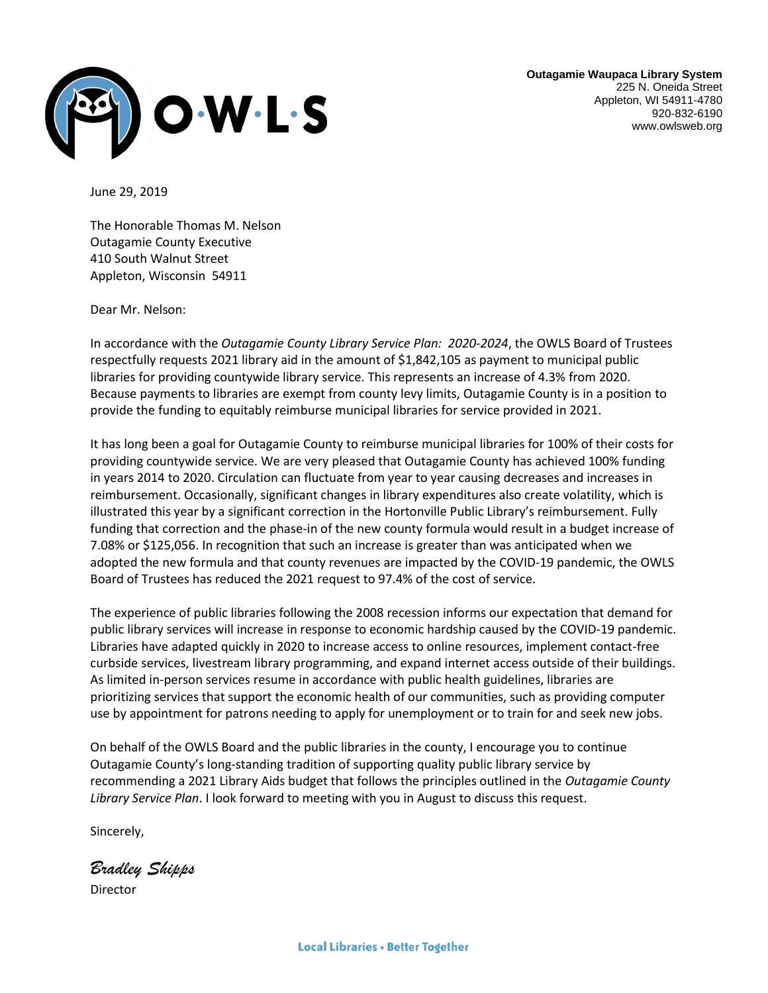

**Outagamie Waupaca Library System** 225 N. Oneida Street Appleton, WI 54911-4780 920-832-6190 www.owlsweb.org

June 29, 2019

The Honorable Thomas M. Nelson Outagamie County Executive 410 South Walnut Street Appleton, Wisconsin 54911

Dear Mr. Nelson:

In accordance with the *Outagamie County Library Service Plan: 2020-2024*, the OWLS Board of Trustees respectfully requests 2021 library aid in the amount of \$1,842,105 as payment to municipal public libraries for providing countywide library service. This represents an increase of 4.3% from 2020. Because payments to libraries are exempt from county levy limits, Outagamie County is in a position to provide the funding to equitably reimburse municipal libraries for service provided in 2021.

It has long been a goal for Outagamie County to reimburse municipal libraries for 100% of their costs for providing countywide service. We are very pleased that Outagamie County has achieved 100% funding in years 2014 to 2020. Circulation can fluctuate from year to year causing decreases and increases in reimbursement. Occasionally, significant changes in library expenditures also create volatility, which is illustrated this year by a significant correction in the Hortonville Public Library's reimbursement. Fully funding that correction and the phase-in of the new county formula would result in a budget increase of 7.08% or \$125,056. In recognition that such an increase is greater than was anticipated when we adopted the new formula and that county revenues are impacted by the COVID-19 pandemic, the OWLS Board of Trustees has reduced the 2021 request to 97.4% of the cost of service.

The experience of public libraries following the 2008 recession informs our expectation that demand for public library services will increase in response to economic hardship caused by the COVID-19 pandemic. Libraries have adapted quickly in 2020 to increase access to online resources, implement contact-free curbside services, livestream library programming, and expand internet access outside of their buildings. As limited in-person services resume in accordance with public health guidelines, libraries are prioritizing services that support the economic health of our communities, such as providing computer use by appointment for patrons needing to apply for unemployment or to train for and seek new jobs.

On behalf of the OWLS Board and the public libraries in the county, I encourage you to continue Outagamie County's long-standing tradition of supporting quality public library service by recommending a 2021 Library Aids budget that follows the principles outlined in the *Outagamie County Library Service Plan*. I look forward to meeting with you in August to discuss this request.

Sincerely,

*Bradley Shipps*

Director